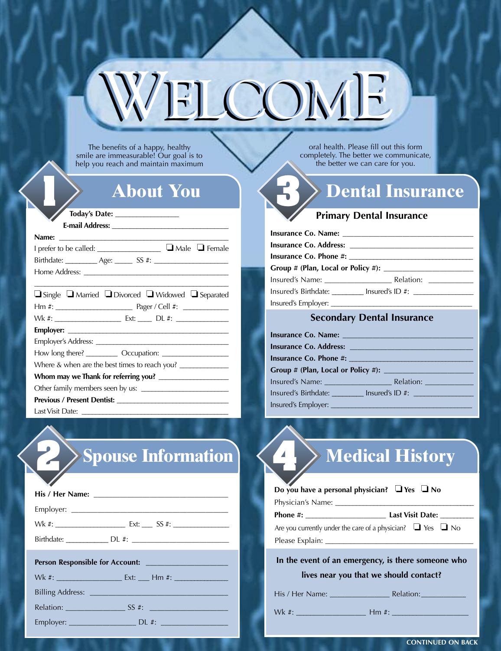# $UCONE$

The benefits of a happy, healthy smile are immeasurable! Our goal is to help you reach and maintain maximum

## **About You 1**

#### **Today's Date: \_\_\_\_\_\_\_\_\_\_\_\_\_\_\_\_\_\_**

| I prefer to be called: ___________________ ■ Male ■ Female                   |  |  |
|------------------------------------------------------------------------------|--|--|
|                                                                              |  |  |
|                                                                              |  |  |
|                                                                              |  |  |
| $\Box$ Single $\Box$ Married $\Box$ Divorced $\Box$ Widowed $\Box$ Separated |  |  |

| $\Box$ single $\Box$ ividing $\Box$ divorced $\Box$ videoved $\Box$ separated     |  |  |
|-----------------------------------------------------------------------------------|--|--|
|                                                                                   |  |  |
|                                                                                   |  |  |
|                                                                                   |  |  |
|                                                                                   |  |  |
|                                                                                   |  |  |
| Where & when are the best times to reach you? ___________________________________ |  |  |
|                                                                                   |  |  |
|                                                                                   |  |  |
|                                                                                   |  |  |
|                                                                                   |  |  |

Last Visit Date:

## **2 Spouse Information 4 Medical History**

| $\mathcal{L}$                                                                    |
|----------------------------------------------------------------------------------|
|                                                                                  |
|                                                                                  |
|                                                                                  |
|                                                                                  |
|                                                                                  |
| Wk #: ________________________ Ext: _____ Hm #: ________________________________ |
|                                                                                  |
|                                                                                  |

Employer: DL #:

| $\#$ : |  |
|--------|--|

oral health. Please fill out this form completely. The better we communicate, the better we can care for you.

## **3 Dental Insurance**

### **Primary Dental Insurance**

|  | Insured's Birthdate: Insured's ID #: |  |  |  |
|--|--------------------------------------|--|--|--|
|  |                                      |  |  |  |

### **Secondary Dental Insurance**

| Insured's Birthdate: Insured's ID #: |
|--------------------------------------|
|                                      |

His / Her Name: \_\_\_\_\_\_\_\_\_\_\_\_\_\_\_\_ Relation:\_\_\_\_\_\_\_\_\_\_\_\_

Wk #: \_\_\_\_\_\_\_\_\_\_\_\_\_\_\_\_\_\_\_ Hm #: \_\_\_\_\_\_\_\_\_\_\_\_\_\_\_\_\_\_\_\_\_

**CONTINUED ON BACK**